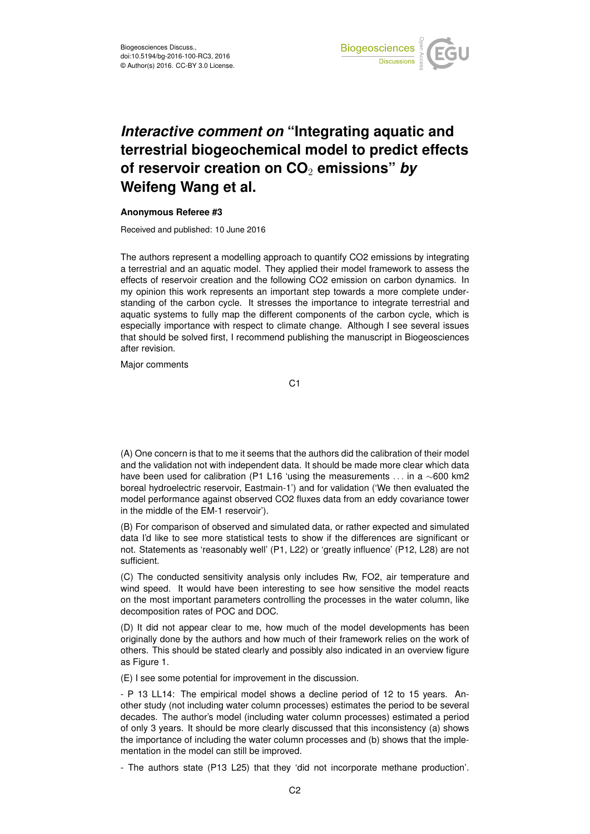

## *Interactive comment on* **"Integrating aquatic and terrestrial biogeochemical model to predict effects of reservoir creation on CO**<sup>2</sup> **emissions"** *by* **Weifeng Wang et al.**

## **Anonymous Referee #3**

Received and published: 10 June 2016

The authors represent a modelling approach to quantify CO2 emissions by integrating a terrestrial and an aquatic model. They applied their model framework to assess the effects of reservoir creation and the following CO2 emission on carbon dynamics. In my opinion this work represents an important step towards a more complete understanding of the carbon cycle. It stresses the importance to integrate terrestrial and aquatic systems to fully map the different components of the carbon cycle, which is especially importance with respect to climate change. Although I see several issues that should be solved first, I recommend publishing the manuscript in Biogeosciences after revision.

Major comments

C1

(A) One concern is that to me it seems that the authors did the calibration of their model and the validation not with independent data. It should be made more clear which data have been used for calibration (P1 L16 'using the measurements . . . in a ∼600 km2 boreal hydroelectric reservoir, Eastmain-1') and for validation ('We then evaluated the model performance against observed CO2 fluxes data from an eddy covariance tower in the middle of the EM-1 reservoir').

(B) For comparison of observed and simulated data, or rather expected and simulated data I'd like to see more statistical tests to show if the differences are significant or not. Statements as 'reasonably well' (P1, L22) or 'greatly influence' (P12, L28) are not sufficient.

(C) The conducted sensitivity analysis only includes Rw, FO2, air temperature and wind speed. It would have been interesting to see how sensitive the model reacts on the most important parameters controlling the processes in the water column, like decomposition rates of POC and DOC.

(D) It did not appear clear to me, how much of the model developments has been originally done by the authors and how much of their framework relies on the work of others. This should be stated clearly and possibly also indicated in an overview figure as Figure 1.

(E) I see some potential for improvement in the discussion.

- P 13 LL14: The empirical model shows a decline period of 12 to 15 years. Another study (not including water column processes) estimates the period to be several decades. The author's model (including water column processes) estimated a period of only 3 years. It should be more clearly discussed that this inconsistency (a) shows the importance of including the water column processes and (b) shows that the implementation in the model can still be improved.

- The authors state (P13 L25) that they 'did not incorporate methane production'.